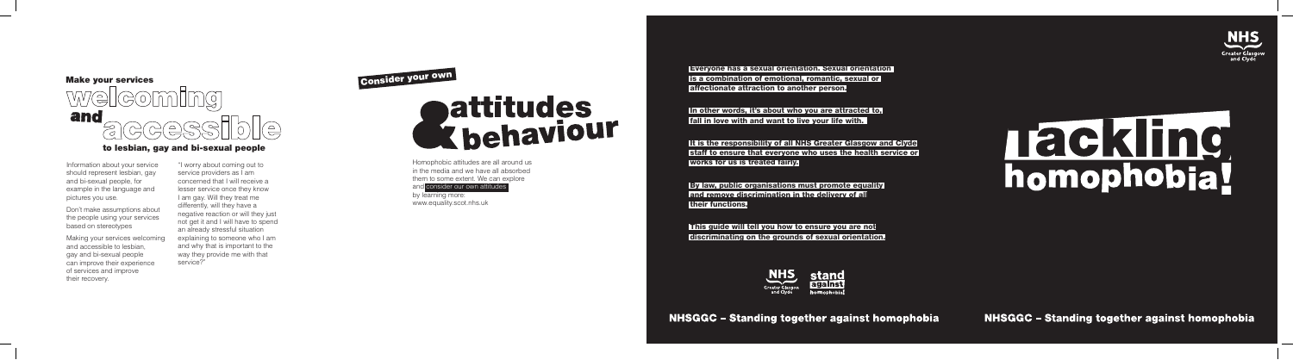Everyone has a sexual orientation. Sexual orientation is a combination of emotional, romantic, sexual or affectionate attraction to another person.

In other words, it's about who you are attracted to, fall in love with and want to live your life with.

It is the responsibility of all NHS Greater Glasgow and Clyde staff to ensure that everyone who uses the health service or works for us is treated fairly.

By law, public organisations must promote equality and remove discrimination in the delivery of all their functions.

This guide will tell you how to ensure you are not discriminating on the grounds of sexual orientation.





**NHSGGC - Standing together against homophobia** 

NHSGGC - Standing together against homophobia

Homophobic attitudes are all around us in the media and we have all absorbed them to some extent. We can explore

and consider our own attitudes by learning more:

**NHS** 

Information about your service should represent lesbian, gay and bi-sexual people, for example in the language and pictures you use.

Don't make assumptions about the people using your services based on stereotypes

Making your services welcoming and accessible to lesbian, gay and bi-sexual people can improve their experience of services and improve their recovery.

"I worry about coming out to service providers as I am concerned that I will receive a lesser service once they know I am gay. Will they treat me differently, will they have a negative reaction or will they just not get it and I will have to spend an already stressful situation explaining to someone who I am and why that is important to the way they provide me with that service?"

# Consider your own<br> **Consider your own<br>
Consider our own attitudes**<br>
Homophobic attitudes are all around us<br>
in the media and we have all absorbed<br>
them to some extent. We can explore<br>
and consider our own attitudes<br>
by lea



### to lesbian, gay and bi-sexual people